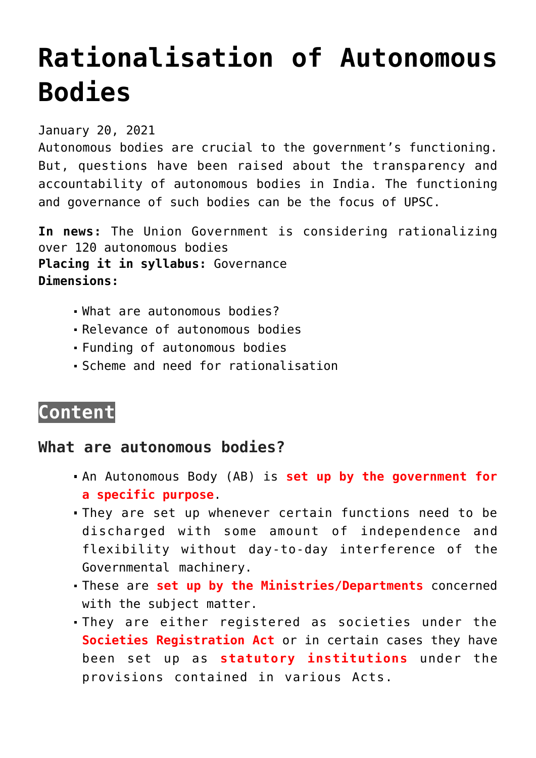# **[Rationalisation of Autonomous](https://journalsofindia.com/rationalisation-of-autonomous-bodies/) [Bodies](https://journalsofindia.com/rationalisation-of-autonomous-bodies/)**

January 20, 2021

Autonomous bodies are crucial to the government's functioning. But, questions have been raised about the transparency and accountability of autonomous bodies in India. The functioning and governance of such bodies can be the focus of UPSC.

**In news:** The Union Government is considering rationalizing over 120 autonomous bodies **Placing it in syllabus:** Governance **Dimensions:**

- What are autonomous bodies?
- Relevance of autonomous bodies
- Funding of autonomous bodies
- Scheme and need for rationalisation

## **Content**

#### **What are autonomous bodies?**

- An Autonomous Body (AB) is **set up by the government for a specific purpose**.
- They are set up whenever certain functions need to be discharged with some amount of independence and flexibility without day-to-day interference of the Governmental machinery.
- These are **set up by the Ministries/Departments** concerned with the subject matter.
- They are either registered as societies under the **Societies Registration Act** or in certain cases they have been set up as **statutory institutions** under the provisions contained in various Acts.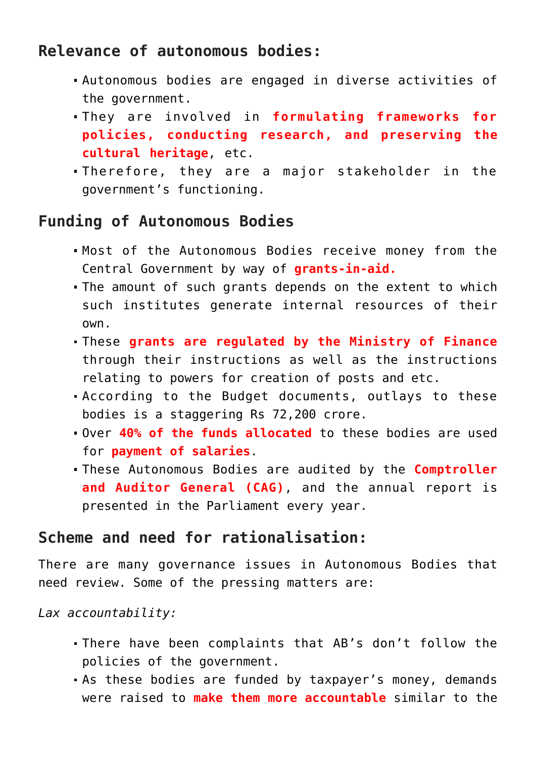### **Relevance of autonomous bodies:**

- Autonomous bodies are engaged in diverse activities of the government.
- They are involved in **formulating frameworks for policies, conducting research, and preserving the cultural heritage**, etc.
- Therefore, they are a major stakeholder in the government's functioning.

#### **Funding of Autonomous Bodies**

- Most of the Autonomous Bodies receive money from the Central Government by way of **grants-in-aid.**
- The amount of such grants depends on the extent to which such institutes generate internal resources of their own.
- These **grants are regulated by the Ministry of Finance** through their instructions as well as the instructions relating to powers for creation of posts and etc.
- According to the Budget documents, outlays to these bodies is a staggering Rs 72,200 crore.
- Over **40% of the funds allocated** to these bodies are used for **payment of salaries**.
- These Autonomous Bodies are audited by the **Comptroller and Auditor General (CAG)**, and the annual report is presented in the Parliament every year.

#### **Scheme and need for rationalisation:**

There are many governance issues in Autonomous Bodies that need review. Some of the pressing matters are:

*Lax accountability:* 

- There have been complaints that AB's don't follow the policies of the government.
- As these bodies are funded by taxpayer's money, demands were raised to **make them more accountable** similar to the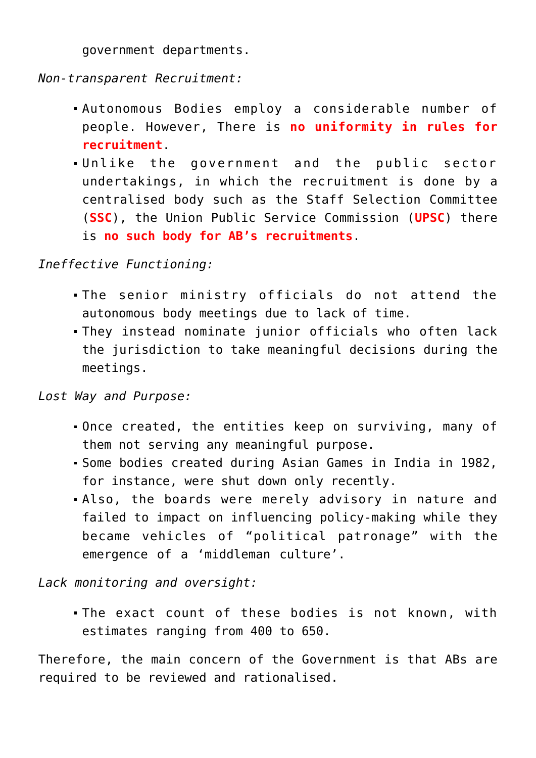government departments.

*Non-transparent Recruitment:* 

- Autonomous Bodies employ a considerable number of people. However, There is **no uniformity in rules for recruitment**.
- Unlike the government and the public sector undertakings, in which the recruitment is done by a centralised body such as the Staff Selection Committee (**SSC**), the Union Public Service Commission (**UPSC**) there is **no such body for AB's recruitments**.

*Ineffective Functioning:* 

- The senior ministry officials do not attend the autonomous body meetings due to lack of time.
- They instead nominate junior officials who often lack the jurisdiction to take meaningful decisions during the meetings.

*Lost Way and Purpose:* 

- Once created, the entities keep on surviving, many of them not serving any meaningful purpose.
- Some bodies created during Asian Games in India in 1982, for instance, were shut down only recently.
- Also, the boards were merely advisory in nature and failed to impact on influencing policy-making while they became vehicles of "political patronage" with the emergence of a 'middleman culture'.

*Lack monitoring and oversight:* 

The exact count of these bodies is not known, with estimates ranging from 400 to 650.

Therefore, the main concern of the Government is that ABs are required to be reviewed and rationalised.